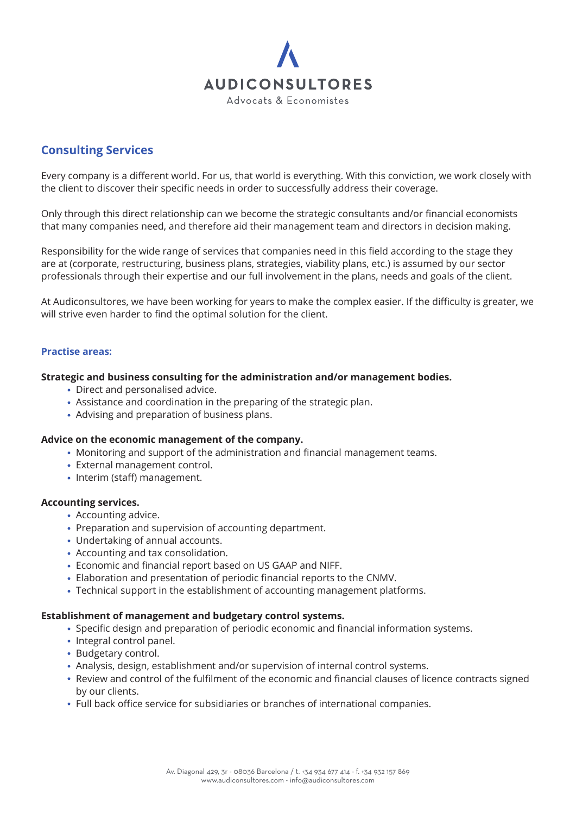

# **Consulting Services**

Every company is a different world. For us, that world is everything. With this conviction, we work closely with the client to discover their specific needs in order to successfully address their coverage.

Only through this direct relationship can we become the strategic consultants and/or financial economists that many companies need, and therefore aid their management team and directors in decision making.

Responsibility for the wide range of services that companies need in this field according to the stage they are at (corporate, restructuring, business plans, strategies, viability plans, etc.) is assumed by our sector professionals through their expertise and our full involvement in the plans, needs and goals of the client.

At Audiconsultores, we have been working for years to make the complex easier. If the difficulty is greater, we will strive even harder to find the optimal solution for the client.

## **Practise areas:**

#### **Strategic and business consulting for the administration and/or management bodies.**

- Direct and personalised advice.
- Assistance and coordination in the preparing of the strategic plan.
- Advising and preparation of business plans.

#### **Advice on the economic management of the company.**

- Monitoring and support of the administration and financial management teams.
- External management control.
- Interim (staff) management.

# **Accounting services.**

- Accounting advice.
- Preparation and supervision of accounting department.
- Undertaking of annual accounts.
- Accounting and tax consolidation.
- Economic and financial report based on US GAAP and NIFF.
- Elaboration and presentation of periodic financial reports to the CNMV.
- Technical support in the establishment of accounting management platforms.

## **Establishment of management and budgetary control systems.**

- Specific design and preparation of periodic economic and financial information systems.
- Integral control panel.
- Budgetary control.
- Analysis, design, establishment and/or supervision of internal control systems.
- Review and control of the fulfilment of the economic and financial clauses of licence contracts signed by our clients.
- Full back office service for subsidiaries or branches of international companies.